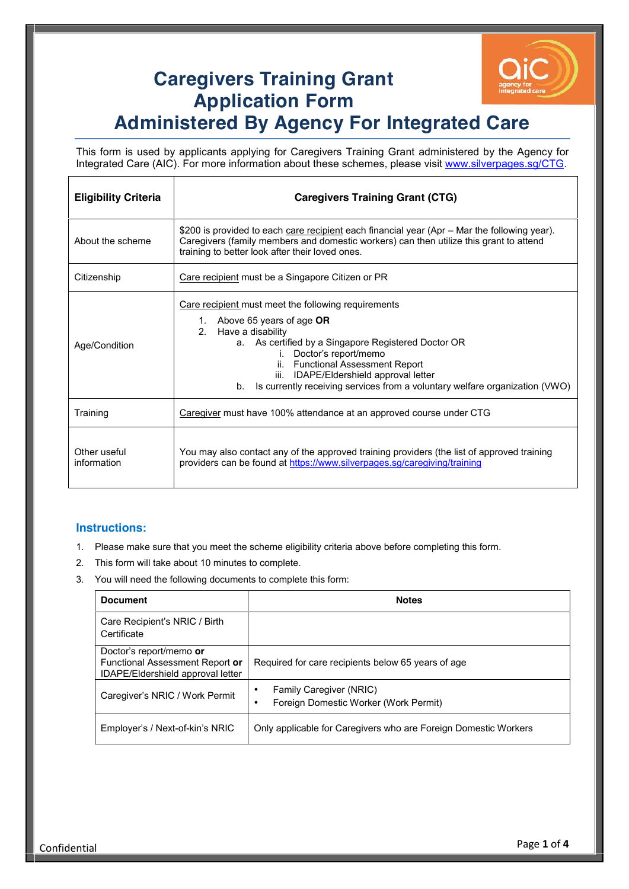

## **Caregivers Training Grant Application Form Administered By Agency For Integrated Care**

This form is used by applicants applying for Caregivers Training Grant administered by the Agency for Integrated Care (AIC). For more information about these schemes, please visit www.silverpages.sg/CTG.

| <b>Eligibility Criteria</b> | <b>Caregivers Training Grant (CTG)</b>                                                                                                                                                                                                                                                                                                                                      |  |
|-----------------------------|-----------------------------------------------------------------------------------------------------------------------------------------------------------------------------------------------------------------------------------------------------------------------------------------------------------------------------------------------------------------------------|--|
| About the scheme            | \$200 is provided to each care recipient each financial year (Apr – Mar the following year).<br>Caregivers (family members and domestic workers) can then utilize this grant to attend<br>training to better look after their loved ones.                                                                                                                                   |  |
| Citizenship                 | Care recipient must be a Singapore Citizen or PR                                                                                                                                                                                                                                                                                                                            |  |
| Age/Condition               | Care recipient must meet the following requirements<br>1. Above 65 years of age OR<br>Have a disability<br>$2^{\circ}$<br>a. As certified by a Singapore Registered Doctor OR<br>i. Doctor's report/memo<br>ii. Functional Assessment Report<br>iii. IDAPE/Eldershield approval letter<br>Is currently receiving services from a voluntary welfare organization (VWO)<br>b. |  |
| Training                    | Caregiver must have 100% attendance at an approved course under CTG                                                                                                                                                                                                                                                                                                         |  |
| Other useful<br>information | You may also contact any of the approved training providers (the list of approved training<br>providers can be found at https://www.silverpages.sg/caregiving/training                                                                                                                                                                                                      |  |

## **Instructions:**

 $\overline{1}$ 

- 1. Please make sure that you meet the scheme eligibility criteria above before completing this form.
- 2. This form will take about 10 minutes to complete.

┱

3. You will need the following documents to complete this form:

| <b>Document</b>                                                                                 | <b>Notes</b>                                                     |  |
|-------------------------------------------------------------------------------------------------|------------------------------------------------------------------|--|
| Care Recipient's NRIC / Birth<br>Certificate                                                    |                                                                  |  |
| Doctor's report/memo or<br>Functional Assessment Report or<br>IDAPE/Eldershield approval letter | Required for care recipients below 65 years of age               |  |
| Caregiver's NRIC / Work Permit                                                                  | Family Caregiver (NRIC)<br>Foreign Domestic Worker (Work Permit) |  |
| Employer's / Next-of-kin's NRIC                                                                 | Only applicable for Caregivers who are Foreign Domestic Workers  |  |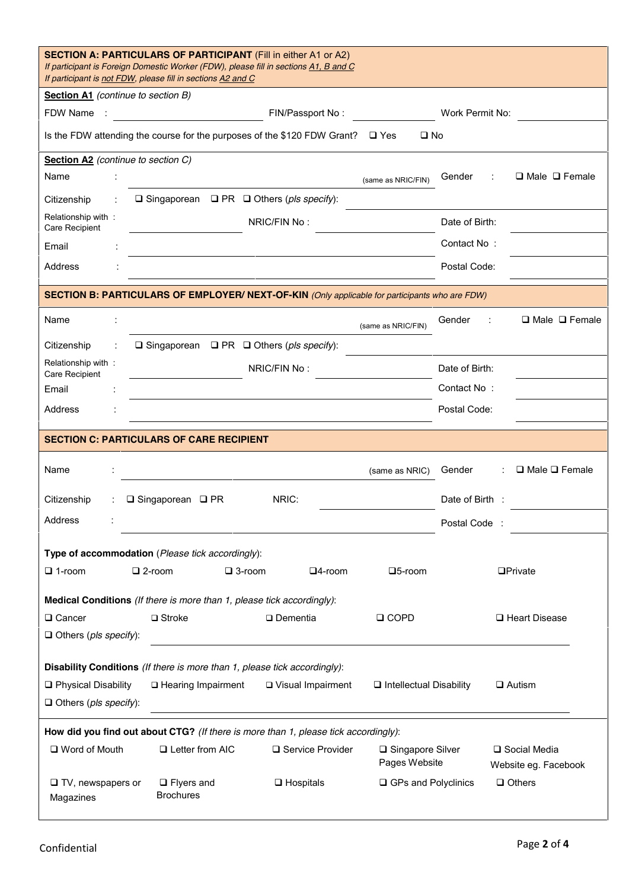| <b>SECTION A: PARTICULARS OF PARTICIPANT</b> (Fill in either A1 or A2)<br>If participant is Foreign Domestic Worker (FDW), please fill in sections A1, B and C<br>If participant is not FDW, please fill in sections A2 and C |                                                                               |  |  |  |  |  |
|-------------------------------------------------------------------------------------------------------------------------------------------------------------------------------------------------------------------------------|-------------------------------------------------------------------------------|--|--|--|--|--|
| Section A1 (continue to section B)                                                                                                                                                                                            |                                                                               |  |  |  |  |  |
| FDW Name<br>FIN/Passport No:                                                                                                                                                                                                  | Work Permit No:                                                               |  |  |  |  |  |
| Is the FDW attending the course for the purposes of the \$120 FDW Grant? □ Yes<br>$\square$ No                                                                                                                                |                                                                               |  |  |  |  |  |
| Section A2 (continue to section C)                                                                                                                                                                                            |                                                                               |  |  |  |  |  |
| Name                                                                                                                                                                                                                          | Gender<br>$\Box$ Male $\Box$ Female<br>(same as NRIC/FIN)                     |  |  |  |  |  |
| $\Box$ Singaporean $\Box$ PR $\Box$ Others (pls specify):<br>Citizenship                                                                                                                                                      |                                                                               |  |  |  |  |  |
| Relationship with:<br>NRIC/FIN No:<br>Care Recipient                                                                                                                                                                          | Date of Birth:                                                                |  |  |  |  |  |
| Email                                                                                                                                                                                                                         | Contact No:                                                                   |  |  |  |  |  |
| Address                                                                                                                                                                                                                       | Postal Code:                                                                  |  |  |  |  |  |
| SECTION B: PARTICULARS OF EMPLOYER/ NEXT-OF-KIN (Only applicable for participants who are FDW)                                                                                                                                |                                                                               |  |  |  |  |  |
| Name                                                                                                                                                                                                                          | $\Box$ Male $\Box$ Female<br>Gender<br>(same as NRIC/FIN)                     |  |  |  |  |  |
| $\Box$ Singaporean $\Box$ PR $\Box$ Others (pls specify):<br>Citizenship                                                                                                                                                      |                                                                               |  |  |  |  |  |
| Relationship with:<br>NRIC/FIN No:<br>Care Recipient                                                                                                                                                                          | Date of Birth:                                                                |  |  |  |  |  |
| Email                                                                                                                                                                                                                         | Contact No:                                                                   |  |  |  |  |  |
| Address                                                                                                                                                                                                                       | Postal Code:                                                                  |  |  |  |  |  |
| <b>SECTION C: PARTICULARS OF CARE RECIPIENT</b>                                                                                                                                                                               |                                                                               |  |  |  |  |  |
| Name                                                                                                                                                                                                                          | $\Box$ Male $\Box$ Female<br>Gender<br>(same as NRIC)                         |  |  |  |  |  |
| NRIC:<br>$\Box$ Singaporean $\Box$ PR<br>Citizenship                                                                                                                                                                          | Date of Birth :                                                               |  |  |  |  |  |
| Address                                                                                                                                                                                                                       | Postal Code                                                                   |  |  |  |  |  |
| Type of accommodation (Please tick accordingly):                                                                                                                                                                              |                                                                               |  |  |  |  |  |
| $\Box$ 1-room<br>$\square$ 2-room<br>$\square$ 3-room<br>$\square$ 4-room                                                                                                                                                     | $\square$ 5-room<br><b>OPrivate</b>                                           |  |  |  |  |  |
|                                                                                                                                                                                                                               |                                                                               |  |  |  |  |  |
| Medical Conditions (If there is more than 1, please tick accordingly):                                                                                                                                                        |                                                                               |  |  |  |  |  |
|                                                                                                                                                                                                                               |                                                                               |  |  |  |  |  |
| □ Cancer<br>$\square$ Stroke<br>$\square$ Dementia                                                                                                                                                                            | $\Box$ COPD<br>□ Heart Disease                                                |  |  |  |  |  |
| $\Box$ Others (pls specify):                                                                                                                                                                                                  |                                                                               |  |  |  |  |  |
| Disability Conditions (If there is more than 1, please tick accordingly):                                                                                                                                                     |                                                                               |  |  |  |  |  |
| □ Physical Disability<br>□ Hearing Impairment<br>□ Visual Impairment                                                                                                                                                          | $\Box$ Intellectual Disability<br>$\Box$ Autism                               |  |  |  |  |  |
| $\Box$ Others (pls specify):                                                                                                                                                                                                  |                                                                               |  |  |  |  |  |
| How did you find out about CTG? (If there is more than 1, please tick accordingly):                                                                                                                                           |                                                                               |  |  |  |  |  |
| □ Word of Mouth<br>□ Letter from AIC<br>□ Service Provider                                                                                                                                                                    | □ Singapore Silver<br>□ Social Media<br>Pages Website<br>Website eg. Facebook |  |  |  |  |  |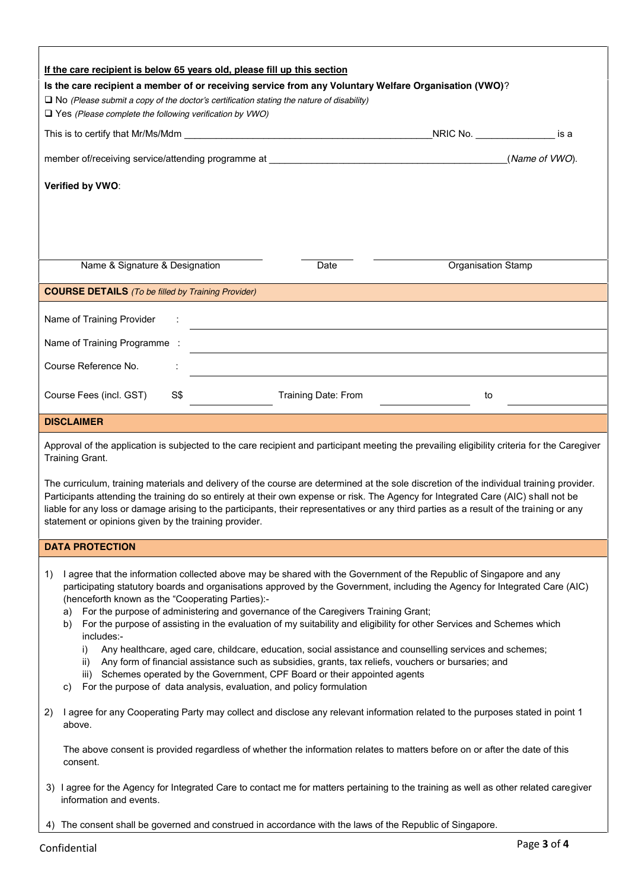| If the care recipient is below 65 years old, please fill up this section                                                                                                                                                                                                                                                                                                                                                                                                                                                               |                     |                    |                |  |  |  |  |
|----------------------------------------------------------------------------------------------------------------------------------------------------------------------------------------------------------------------------------------------------------------------------------------------------------------------------------------------------------------------------------------------------------------------------------------------------------------------------------------------------------------------------------------|---------------------|--------------------|----------------|--|--|--|--|
| Is the care recipient a member of or receiving service from any Voluntary Welfare Organisation (VWO)?                                                                                                                                                                                                                                                                                                                                                                                                                                  |                     |                    |                |  |  |  |  |
| $\square$ No (Please submit a copy of the doctor's certification stating the nature of disability)<br>$\Box$ Yes (Please complete the following verification by VWO)                                                                                                                                                                                                                                                                                                                                                                   |                     |                    |                |  |  |  |  |
|                                                                                                                                                                                                                                                                                                                                                                                                                                                                                                                                        |                     | NRIC No.           | is a           |  |  |  |  |
|                                                                                                                                                                                                                                                                                                                                                                                                                                                                                                                                        |                     |                    | (Name of VWO). |  |  |  |  |
| Verified by VWO:                                                                                                                                                                                                                                                                                                                                                                                                                                                                                                                       |                     |                    |                |  |  |  |  |
|                                                                                                                                                                                                                                                                                                                                                                                                                                                                                                                                        |                     |                    |                |  |  |  |  |
|                                                                                                                                                                                                                                                                                                                                                                                                                                                                                                                                        |                     |                    |                |  |  |  |  |
| Name & Signature & Designation                                                                                                                                                                                                                                                                                                                                                                                                                                                                                                         | Date                | Organisation Stamp |                |  |  |  |  |
| <b>COURSE DETAILS</b> (To be filled by Training Provider)                                                                                                                                                                                                                                                                                                                                                                                                                                                                              |                     |                    |                |  |  |  |  |
| Name of Training Provider                                                                                                                                                                                                                                                                                                                                                                                                                                                                                                              |                     |                    |                |  |  |  |  |
| Name of Training Programme :                                                                                                                                                                                                                                                                                                                                                                                                                                                                                                           |                     |                    |                |  |  |  |  |
| Course Reference No.                                                                                                                                                                                                                                                                                                                                                                                                                                                                                                                   |                     |                    |                |  |  |  |  |
|                                                                                                                                                                                                                                                                                                                                                                                                                                                                                                                                        |                     |                    |                |  |  |  |  |
| S\$<br>Course Fees (incl. GST)                                                                                                                                                                                                                                                                                                                                                                                                                                                                                                         | Training Date: From | to                 |                |  |  |  |  |
| <b>DISCLAIMER</b>                                                                                                                                                                                                                                                                                                                                                                                                                                                                                                                      |                     |                    |                |  |  |  |  |
| Approval of the application is subjected to the care recipient and participant meeting the prevailing eligibility criteria for the Caregiver<br>Training Grant.                                                                                                                                                                                                                                                                                                                                                                        |                     |                    |                |  |  |  |  |
| The curriculum, training materials and delivery of the course are determined at the sole discretion of the individual training provider.<br>Participants attending the training do so entirely at their own expense or risk. The Agency for Integrated Care (AIC) shall not be<br>liable for any loss or damage arising to the participants, their representatives or any third parties as a result of the training or any<br>statement or opinions given by the training provider.                                                    |                     |                    |                |  |  |  |  |
| <b>DATA PROTECTION</b>                                                                                                                                                                                                                                                                                                                                                                                                                                                                                                                 |                     |                    |                |  |  |  |  |
| I agree that the information collected above may be shared with the Government of the Republic of Singapore and any<br>1)<br>participating statutory boards and organisations approved by the Government, including the Agency for Integrated Care (AIC)<br>(henceforth known as the "Cooperating Parties):-<br>For the purpose of administering and governance of the Caregivers Training Grant;<br>a)<br>For the purpose of assisting in the evaluation of my suitability and eligibility for other Services and Schemes which<br>b) |                     |                    |                |  |  |  |  |
| includes:-<br>Any healthcare, aged care, childcare, education, social assistance and counselling services and schemes;<br>i)<br>Any form of financial assistance such as subsidies, grants, tax reliefs, vouchers or bursaries; and<br>ii)<br>Schemes operated by the Government, CPF Board or their appointed agents<br>iii)<br>For the purpose of data analysis, evaluation, and policy formulation<br>C)                                                                                                                            |                     |                    |                |  |  |  |  |
| I agree for any Cooperating Party may collect and disclose any relevant information related to the purposes stated in point 1<br>2)<br>above.                                                                                                                                                                                                                                                                                                                                                                                          |                     |                    |                |  |  |  |  |
| The above consent is provided regardless of whether the information relates to matters before on or after the date of this<br>consent.                                                                                                                                                                                                                                                                                                                                                                                                 |                     |                    |                |  |  |  |  |
| 3) I agree for the Agency for Integrated Care to contact me for matters pertaining to the training as well as other related caregiver<br>information and events.                                                                                                                                                                                                                                                                                                                                                                       |                     |                    |                |  |  |  |  |
| 4) The consent shall be governed and construed in accordance with the laws of the Republic of Singapore.                                                                                                                                                                                                                                                                                                                                                                                                                               |                     |                    |                |  |  |  |  |